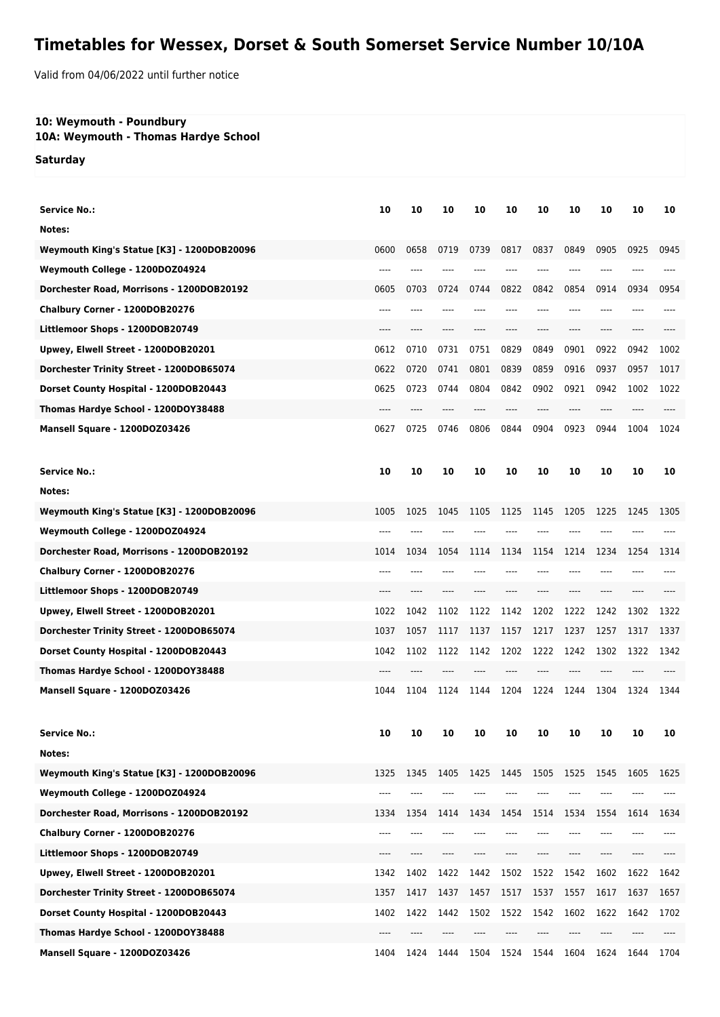## **Timetables for Wessex, Dorset & South Somerset Service Number 10/10A**

Valid from 04/06/2022 until further notice

## **10: Weymouth - Poundbury**

**10A: Weymouth - Thomas Hardye School**

**Saturday**

| <b>Service No.:</b>                               | 10   | 10   | 10   | 10   | 10        | 10   | 10   | 10   | 10   | 10   |
|---------------------------------------------------|------|------|------|------|-----------|------|------|------|------|------|
| Notes:                                            |      |      |      |      |           |      |      |      |      |      |
| Weymouth King's Statue [K3] - 1200DOB20096        | 0600 | 0658 | 0719 | 0739 | 0817      | 0837 | 0849 | 0905 | 0925 | 0945 |
| Weymouth College - 1200DOZ04924                   |      |      |      |      |           |      |      |      |      |      |
| Dorchester Road, Morrisons - 1200DOB20192         | 0605 | 0703 | 0724 | 0744 | 0822      | 0842 | 0854 | 0914 | 0934 | 0954 |
| Chalbury Corner - 1200DOB20276                    |      |      |      |      |           |      |      |      |      |      |
| Littlemoor Shops - 1200DOB20749                   | ---- |      |      |      |           | ---- | ---- | ---- | ---- |      |
| Upwey, Elwell Street - 1200DOB20201               | 0612 | 0710 | 0731 | 0751 | 0829      | 0849 | 0901 | 0922 | 0942 | 1002 |
| Dorchester Trinity Street - 1200DOB65074          | 0622 | 0720 | 0741 | 0801 | 0839      | 0859 | 0916 | 0937 | 0957 | 1017 |
| Dorset County Hospital - 1200DOB20443             | 0625 | 0723 | 0744 | 0804 | 0842      | 0902 | 0921 | 0942 | 1002 | 1022 |
|                                                   |      |      |      |      |           |      |      |      |      |      |
| Thomas Hardye School - 1200DOY38488               | 0627 | 0725 | 0746 | 0806 | 0844      | 0904 | 0923 | 0944 | 1004 |      |
| Mansell Square - 1200DOZ03426                     |      |      |      |      |           |      |      |      |      | 1024 |
| <b>Service No.:</b>                               | 10   | 10   | 10   | 10   | 10        | 10   | 10   | 10   | 10   | 10   |
| Notes:                                            |      |      |      |      |           |      |      |      |      |      |
| <b>Weymouth King's Statue [K3] - 1200DOB20096</b> | 1005 | 1025 | 1045 | 1105 | 1125      | 1145 | 1205 | 1225 | 1245 | 1305 |
| Weymouth College - 1200DOZ04924                   |      |      |      |      |           |      |      |      |      |      |
| Dorchester Road, Morrisons - 1200DOB20192         | 1014 | 1034 | 1054 | 1114 | 1134      | 1154 | 1214 | 1234 | 1254 | 1314 |
| Chalbury Corner - 1200DOB20276                    | ---- |      |      |      |           |      |      |      |      |      |
| Littlemoor Shops - 1200DOB20749                   | ---- |      |      |      |           |      |      |      |      |      |
| Upwey, Elwell Street - 1200DOB20201               | 1022 | 1042 | 1102 | 1122 | 1142      | 1202 | 1222 | 1242 | 1302 | 1322 |
| Dorchester Trinity Street - 1200DOB65074          | 1037 | 1057 | 1117 | 1137 | 1157      | 1217 | 1237 | 1257 | 1317 | 1337 |
| Dorset County Hospital - 1200DOB20443             | 1042 | 1102 | 1122 | 1142 | 1202      | 1222 | 1242 | 1302 | 1322 | 1342 |
| Thomas Hardye School - 1200DOY38488               | ---- |      |      |      |           |      |      |      |      |      |
| Mansell Square - 1200DOZ03426                     | 1044 | 1104 | 1124 | 1144 | 1204      | 1224 | 1244 | 1304 | 1324 | 1344 |
|                                                   |      |      |      |      |           |      |      |      |      |      |
| <b>Service No.:</b>                               | 10   | 10   | 10   | 10   | 10        | 10   | 10   | 10   | 10   | 10   |
| Notes:                                            |      |      |      |      |           |      |      |      |      |      |
| Weymouth King's Statue [K3] - 1200DOB20096        | 1325 | 1345 | 1405 | 1425 | 1445      | 1505 | 1525 | 1545 | 1605 | 1625 |
| Weymouth College - 1200DOZ04924                   |      |      |      |      |           |      |      |      |      |      |
| Dorchester Road, Morrisons - 1200DOB20192         | 1334 | 1354 | 1414 | 1434 | 1454      | 1514 | 1534 | 1554 | 1614 | 1634 |
| Chalbury Corner - 1200DOB20276                    | ---- |      |      |      |           |      |      |      |      |      |
| Littlemoor Shops - 1200DOB20749                   | ---- |      |      |      |           |      |      |      |      |      |
| Upwey, Elwell Street - 1200DOB20201               | 1342 | 1402 | 1422 | 1442 | 1502      | 1522 | 1542 | 1602 | 1622 | 1642 |
| Dorchester Trinity Street - 1200DOB65074          | 1357 | 1417 | 1437 | 1457 | 1517      | 1537 | 1557 | 1617 | 1637 | 1657 |
| Dorset County Hospital - 1200DOB20443             | 1402 | 1422 | 1442 | 1502 | 1522      | 1542 | 1602 | 1622 | 1642 | 1702 |
| Thomas Hardye School - 1200DOY38488               |      |      |      |      |           |      |      |      |      |      |
| Mansell Square - 1200DOZ03426                     | 1404 | 1424 | 1444 | 1504 | 1524 1544 |      | 1604 | 1624 | 1644 | 1704 |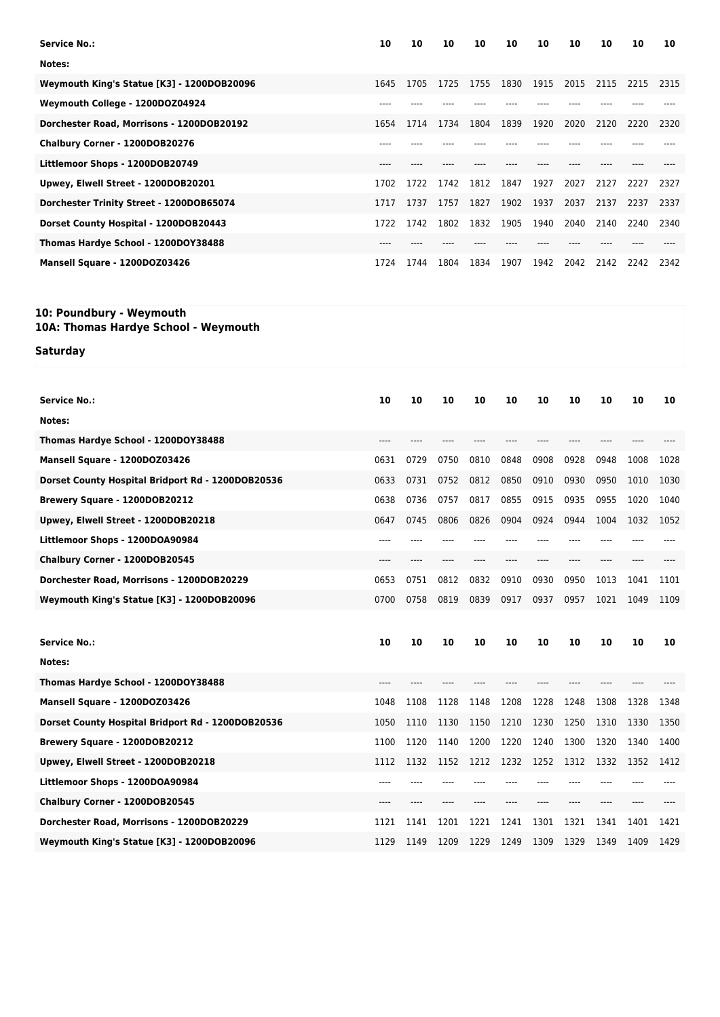| <b>Service No.:</b>                        | 10   | 10   | 10   | 10   | 10   | 10   | 10   | 10   | 10   | 10   |
|--------------------------------------------|------|------|------|------|------|------|------|------|------|------|
| Notes:                                     |      |      |      |      |      |      |      |      |      |      |
| Weymouth King's Statue [K3] - 1200DOB20096 | 1645 | 1705 | 1725 | 1755 | 1830 | 1915 | 2015 | 2115 | 2215 | 2315 |
| Weymouth College - 1200D0Z04924            |      |      |      |      |      |      |      |      |      |      |
| Dorchester Road, Morrisons - 1200DOB20192  | 1654 | 1714 | 1734 | 1804 | 1839 | 1920 | 2020 | 2120 | 2220 | 2320 |
| Chalbury Corner - 1200DOB20276             |      |      |      |      |      |      |      |      |      |      |
| Littlemoor Shops - 1200DOB20749            | ---- |      |      |      |      |      |      |      |      |      |
| Upwey, Elwell Street - 1200DOB20201        | 1702 | 1722 | 1742 | 1812 | 1847 | 1927 | 2027 | 2127 | 2227 | 2327 |
| Dorchester Trinity Street - 1200DOB65074   | 1717 | 1737 | 1757 | 1827 | 1902 | 1937 | 2037 | 2137 | 2237 | 2337 |
| Dorset County Hospital - 1200DOB20443      | 1722 | 1742 | 1802 | 1832 | 1905 | 1940 | 2040 | 2140 | 2240 | 2340 |
| Thomas Hardye School - 1200DOY38488        |      |      |      |      |      |      |      |      |      |      |
| Mansell Square - 1200DOZ03426              | 1724 | 1744 | 1804 | 1834 | 1907 | 1942 | 2042 | 2142 | 2242 | 2342 |

## **10: Poundbury - Weymouth**

**10A: Thomas Hardye School - Weymouth**

## **Saturday**

| Service No.:                                      | 10   | 10   | 10   | 10   | 10   | 10   | 10    | 10   | 10   | 10   |
|---------------------------------------------------|------|------|------|------|------|------|-------|------|------|------|
| Notes:                                            |      |      |      |      |      |      |       |      |      |      |
| Thomas Hardye School - 1200DOY38488               | ---- |      |      |      |      |      | ----  | ---- |      |      |
| Mansell Square - 1200DOZ03426                     | 0631 | 0729 | 0750 | 0810 | 0848 | 0908 | 0928  | 0948 | 1008 | 1028 |
| Dorset County Hospital Bridport Rd - 1200DOB20536 | 0633 | 0731 | 0752 | 0812 | 0850 | 0910 | 0930  | 0950 | 1010 | 1030 |
| Brewery Square - 1200DOB20212                     | 0638 | 0736 | 0757 | 0817 | 0855 | 0915 | 0935  | 0955 | 1020 | 1040 |
| Upwey, Elwell Street - 1200DOB20218               | 0647 | 0745 | 0806 | 0826 | 0904 | 0924 | 0944  | 1004 | 1032 | 1052 |
| Littlemoor Shops - 1200DOA90984                   | ---- | ---- |      |      |      |      | ----  |      |      |      |
| Chalbury Corner - 1200DOB20545                    | ---- |      |      |      |      | ---- | ----  | ---- |      |      |
| Dorchester Road, Morrisons - 1200DOB20229         | 0653 | 0751 | 0812 | 0832 | 0910 | 0930 | 0950  | 1013 | 1041 | 1101 |
| Weymouth King's Statue [K3] - 1200DOB20096        | 0700 | 0758 | 0819 | 0839 | 0917 | 0937 | 0957  | 1021 | 1049 | 1109 |
|                                                   |      |      |      |      |      |      |       |      |      |      |
|                                                   |      |      |      |      |      |      |       |      |      |      |
| Service No.:                                      | 10   | 10   | 10   | 10   | 10   | 10   | 10    | 10   | 10   | 10   |
| Notes:                                            |      |      |      |      |      |      |       |      |      |      |
| Thomas Hardye School - 1200DOY38488               | ---- |      |      |      |      |      |       |      |      |      |
| Mansell Square - 1200DOZ03426                     | 1048 | 1108 | 1128 | 1148 | 1208 | 1228 | 1248  | 1308 | 1328 | 1348 |
| Dorset County Hospital Bridport Rd - 1200DOB20536 | 1050 | 1110 | 1130 | 1150 | 1210 | 1230 | 1250  | 1310 | 1330 | 1350 |
| Brewery Square - 1200DOB20212                     | 1100 | 1120 | 1140 | 1200 | 1220 | 1240 | 1300  | 1320 | 1340 | 1400 |
| Upwey, Elwell Street - 1200DOB20218               | 1112 | 1132 | 1152 | 1212 | 1232 | 1252 | 1312  | 1332 | 1352 | 1412 |
| Littlemoor Shops - 1200DOA90984                   | ---- |      |      |      |      |      |       |      |      |      |
| Chalbury Corner - 1200DOB20545                    | ---- |      |      |      |      |      | $---$ | ---- |      |      |
| Dorchester Road, Morrisons - 1200DOB20229         | 1121 | 1141 | 1201 | 1221 | 1241 | 1301 | 1321  | 1341 | 1401 | 1421 |